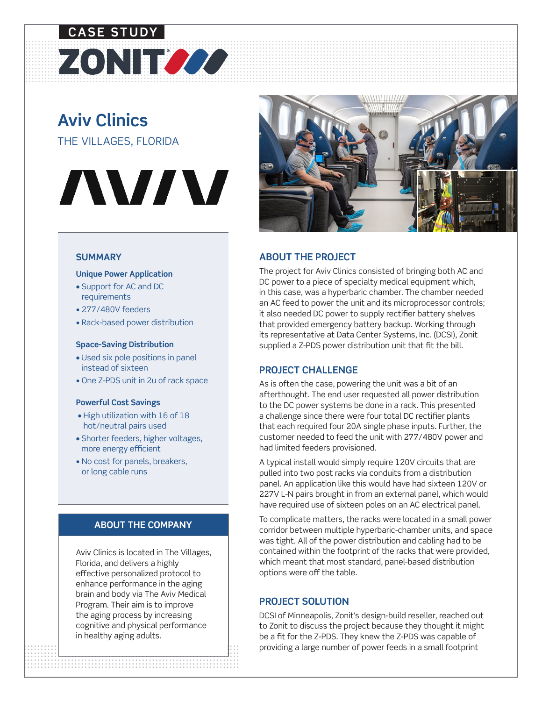## ZONITOOO **CASE STUDY**

### **Aviv Clinics** THE VILLAGES, FLORIDA

# **AVIV**

#### **SUMMARY**

#### **Unique Power Application**

- Support for AC and DC requirements
- 277/480V feeders
- Rack-based power distribution

#### **Space-Saving Distribution**

- Used six pole positions in panel instead of sixteen
- One Z-PDS unit in 2u of rack space

#### **Powerful Cost Savings**

- High utilization with 16 of 18 hot/neutral pairs used
- Shorter feeders, higher voltages, more energy efficient
- No cost for panels, breakers, or long cable runs

#### **ABOUT THE COMPANY**

Aviv Clinics is located in The Villages, Florida, and delivers a highly effective personalized protocol to enhance performance in the aging brain and body via The Aviv Medical Program. Their aim is to improve the aging process by increasing cognitive and physical performance in healthy aging adults.



#### **ABOUT THE PROJECT**

The project for Aviv Clinics consisted of bringing both AC and DC power to a piece of specialty medical equipment which, in this case, was a hyperbaric chamber. The chamber needed an AC feed to power the unit and its microprocessor controls; it also needed DC power to supply rectifier battery shelves that provided emergency battery backup. Working through its representative at Data Center Systems, Inc. (DCSI), Zonit supplied a Z-PDS power distribution unit that fit the bill.

#### **PROJECT CHALLENGE**

As is often the case, powering the unit was a bit of an afterthought. The end user requested all power distribution to the DC power systems be done in a rack. This presented a challenge since there were four total DC rectifier plants that each required four 20A single phase inputs. Further, the customer needed to feed the unit with 277/480V power and had limited feeders provisioned.

A typical install would simply require 120V circuits that are pulled into two post racks via conduits from a distribution panel. An application like this would have had sixteen 120V or 227V L-N pairs brought in from an external panel, which would have required use of sixteen poles on an AC electrical panel.

To complicate matters, the racks were located in a small power corridor between multiple hyperbaric-chamber units, and space was tight. All of the power distribution and cabling had to be contained within the footprint of the racks that were provided, which meant that most standard, panel-based distribution options were off the table.

#### **PROJECT SOLUTION**

be a fit for the 2 F DS. They knew the 2 F DS was capable of<br>providing a large number of power feeds in a small footprint DCSI of Minneapolis, Zonit's design-build reseller, reached out to Zonit to discuss the project because they thought it might be a fit for the Z-PDS. They knew the Z-PDS was capable of